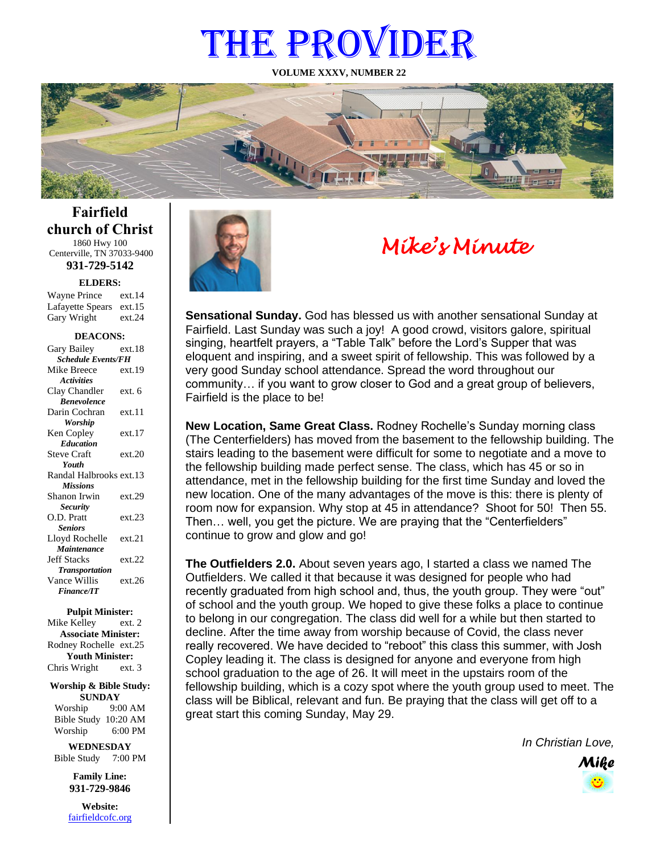# THE PROVIDER

**VOLUME XXXV, NUMBER 22**



**Fairfield church of Christ** 1860 Hwy 100 Centerville, TN 37033-9400

**931-729-5142**

**ELDERS:**

Gary Wright ext.24 Wayne Prince ext.14 Lafayette Spears ext.15

#### **DEACONS:**

| Gary Bailey               | ext 18 |  |
|---------------------------|--------|--|
| <b>Schedule Events/FH</b> |        |  |
| Mike Breece               | ext.19 |  |
| <b>Activities</b>         |        |  |
| Clay Chandler             | ext. 6 |  |
| <b>Benevolence</b>        |        |  |
| Darin Cochran             | ext.11 |  |
| <b>Worship</b>            |        |  |
| Ken Copley                | ext.17 |  |
| <b>Education</b>          |        |  |
| <b>Steve Craft</b>        | ext.20 |  |
| Youth                     |        |  |
| Randal Halbrooks ext.13   |        |  |
| <b>Missions</b>           |        |  |
| Shanon Irwin              | ext.29 |  |
| <b>Security</b>           |        |  |
| O.D. Pratt                | ext.23 |  |
| <b>Seniors</b>            |        |  |
| Lloyd Rochelle            | ext.21 |  |
| Maintenance               |        |  |
| <b>Jeff Stacks</b>        | ext.22 |  |
| <b>Transportation</b>     |        |  |
| Vance Willis              | ext.26 |  |
| <b>Finance/IT</b>         |        |  |

#### **Pulpit Minister:**

Mike Kelley ext. 2 **Associate Minister:** Rodney Rochelle ext.25 **Youth Minister:** Chris Wright ext. 3

**Worship & Bible Study: SUNDAY** Worship 9:00 AM

Bible Study 10:20 AM Worship 6:00 PM **WEDNESDAY**

Bible Study 7:00 PM

**Family Line: 931-729-9846**

**Website:** [fairfieldcofc.org](file:///C:/Users/RickJoyce/Documents/Fairfield%20Website%20Files/fairfieldchurchofchrist.org)



# *Mike's Minute*

**Sensational Sunday.** God has blessed us with another sensational Sunday at Fairfield. Last Sunday was such a joy! A good crowd, visitors galore, spiritual singing, heartfelt prayers, a "Table Talk" before the Lord's Supper that was eloquent and inspiring, and a sweet spirit of fellowship. This was followed by a very good Sunday school attendance. Spread the word throughout our community… if you want to grow closer to God and a great group of believers, Fairfield is the place to be!

**New Location, Same Great Class.** Rodney Rochelle's Sunday morning class (The Centerfielders) has moved from the basement to the fellowship building. The stairs leading to the basement were difficult for some to negotiate and a move to the fellowship building made perfect sense. The class, which has 45 or so in attendance, met in the fellowship building for the first time Sunday and loved the new location. One of the many advantages of the move is this: there is plenty of room now for expansion. Why stop at 45 in attendance? Shoot for 50! Then 55. Then… well, you get the picture. We are praying that the "Centerfielders" continue to grow and glow and go!

**The Outfielders 2.0.** About seven years ago, I started a class we named The Outfielders. We called it that because it was designed for people who had recently graduated from high school and, thus, the youth group. They were "out" of school and the youth group. We hoped to give these folks a place to continue to belong in our congregation. The class did well for a while but then started to decline. After the time away from worship because of Covid, the class never really recovered. We have decided to "reboot" this class this summer, with Josh Copley leading it. The class is designed for anyone and everyone from high school graduation to the age of 26. It will meet in the upstairs room of the fellowship building, which is a cozy spot where the youth group used to meet. The class will be Biblical, relevant and fun. Be praying that the class will get off to a great start this coming Sunday, May 29.

*In Christian Love,*

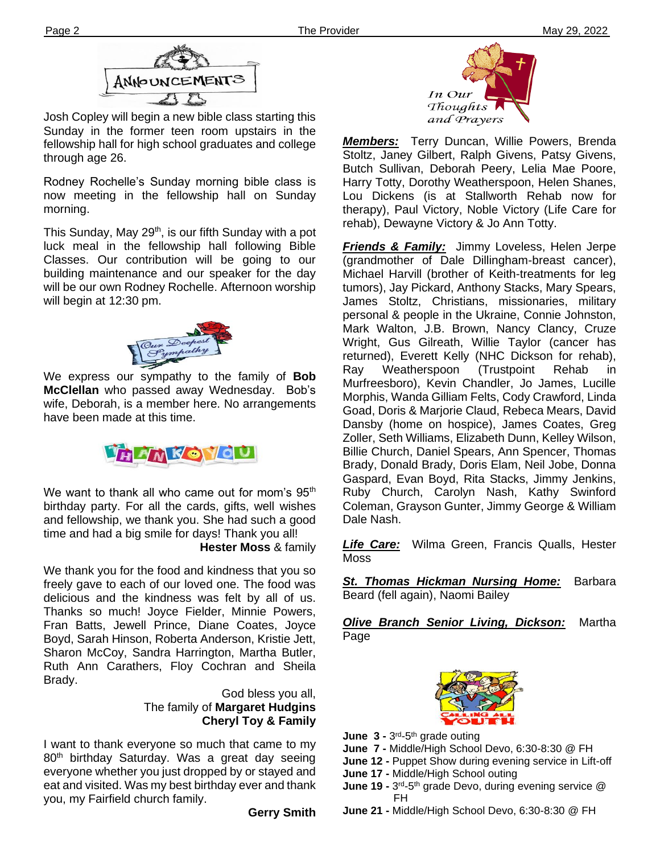

Josh Copley will begin a new bible class starting this Sunday in the former teen room upstairs in the fellowship hall for high school graduates and college through age 26.

**Ther** Rodney Rochelle's Sunday morning bible class is now meeting in the fellowship hall on Sunday morning.

This Sunday, May 29<sup>th</sup>, is our fifth Sunday with a pot luck meal in the fellowship hall following Bible Classes. Our contribution will be going to our building maintenance and our speaker for the day will be our own Rodney Rochelle. Afternoon worship will begin at 12:30 pm.



We express our sympathy to the family of **Bob McClellan** who passed away Wednesday. Bob's wife, Deborah, is a member here. No arrangements have been made at this time.



We want to thank all who came out for mom's  $95<sup>th</sup>$ birthday party. For all the cards, gifts, well wishes and fellowship, we thank you. She had such a good time and had a big smile for days! Thank you all!

**Hester Moss** & family

Fran Batts, Jewell Prince, Diane Coates, Joyce We thank you for the food and kindness that you so freely gave to each of our loved one. The food was delicious and the kindness was felt by all of us. Thanks so much! Joyce Fielder, Minnie Powers, Boyd, Sarah Hinson, Roberta Anderson, Kristie Jett, Sharon McCoy, Sandra Harrington, Martha Butler, Ruth Ann Carathers, Floy Cochran and Sheila Brady.

> God bless you all, The family of **Margaret Hudgins Cheryl Toy & Family**

I want to thank everyone so much that came to my 80<sup>th</sup> birthday Saturday. Was a great day seeing everyone whether you just dropped by or stayed and eat and visited. Was my best birthday ever and thank you, my Fairfield church family.

**Gerry Smith**



*Members:* Terry Duncan, Willie Powers, Brenda Stoltz, Janey Gilbert, Ralph Givens, Patsy Givens, Butch Sullivan, Deborah Peery, Lelia Mae Poore, Harry Totty, Dorothy Weatherspoon, Helen Shanes, Lou Dickens (is at Stallworth Rehab now for therapy), Paul Victory, Noble Victory (Life Care for rehab), Dewayne Victory & Jo Ann Totty.

*Friends & Family:* Jimmy Loveless, Helen Jerpe (grandmother of Dale Dillingham-breast cancer), Michael Harvill (brother of Keith-treatments for leg tumors), Jay Pickard, Anthony Stacks, Mary Spears, James Stoltz, Christians, missionaries, military personal & people in the Ukraine, Connie Johnston, Mark Walton, J.B. Brown, Nancy Clancy, Cruze Wright, Gus Gilreath, Willie Taylor (cancer has returned), Everett Kelly (NHC Dickson for rehab), Ray Weatherspoon (Trustpoint Rehab in Murfreesboro), Kevin Chandler, Jo James, Lucille Morphis, Wanda Gilliam Felts, Cody Crawford, Linda Goad, Doris & Marjorie Claud, Rebeca Mears, David Dansby (home on hospice), James Coates, Greg Zoller, Seth Williams, Elizabeth Dunn, Kelley Wilson, Billie Church, Daniel Spears, Ann Spencer, Thomas Brady, Donald Brady, Doris Elam, Neil Jobe, Donna Gaspard, Evan Boyd, Rita Stacks, Jimmy Jenkins, Ruby Church, Carolyn Nash, Kathy Swinford Coleman, Grayson Gunter, Jimmy George & William Dale Nash.

*Life Care:* Wilma Green, Francis Qualls, Hester Moss

*St. Thomas Hickman Nursing Home:* Barbara Beard (fell again), Naomi Bailey

*Olive Branch Senior Living, Dickson:* Martha Page



- **June 3 3<sup>rd</sup>-5<sup>th</sup> grade outing**
- **June 7 -** Middle/High School Devo, 6:30-8:30 @ FH
- **June 12 -** Puppet Show during evening service in Lift-off
- **June 17 -** Middle/High School outing
- **June 19 -** 3<sup>rd</sup>-5<sup>th</sup> grade Devo, during evening service @ FH
- **June 21 -** Middle/High School Devo, 6:30-8:30 @ FH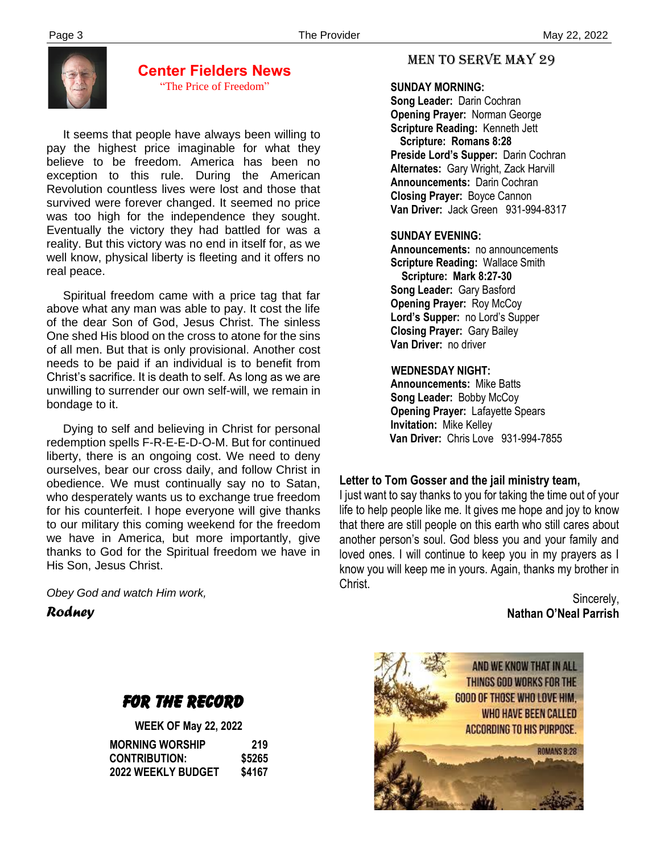

# **Center Fielders News** "The Price of Freedom"

 It seems that people have always been willing to pay the highest price imaginable for what they believe to be freedom. America has been no exception to this rule. During the American Revolution countless lives were lost and those that survived were forever changed. It seemed no price was too high for the independence they sought. Eventually the victory they had battled for was a reality. But this victory was no end in itself for, as we well know, physical liberty is fleeting and it offers no real peace.

 Spiritual freedom came with a price tag that far above what any man was able to pay. It cost the life of the dear Son of God, Jesus Christ. The sinless One shed His blood on the cross to atone for the sins of all men. But that is only provisional. Another cost needs to be paid if an individual is to benefit from Christ's sacrifice. It is death to self. As long as we are unwilling to surrender our own self-will, we remain in bondage to it.

 Dying to self and believing in Christ for personal redemption spells F-R-E-E-D-O-M. But for continued liberty, there is an ongoing cost. We need to deny ourselves, bear our cross daily, and follow Christ in obedience. We must continually say no to Satan, who desperately wants us to exchange true freedom for his counterfeit. I hope everyone will give thanks to our military this coming weekend for the freedom we have in America, but more importantly, give thanks to God for the Spiritual freedom we have in His Son, Jesus Christ.

 *Rodney Obey God and watch Him work,*

# FOR THE RECORD

|                           | <b>WEEK OF May 22, 2022</b> |  |
|---------------------------|-----------------------------|--|
| <b>MORNING WORSHIP</b>    | 219                         |  |
| <b>CONTRIBUTION:</b>      | \$5265                      |  |
| <b>2022 WEEKLY BUDGET</b> | \$4167                      |  |

# MEN TO SERVE may 29

## **SUNDAY MORNING:**

**Song Leader:** Darin Cochran  **Opening Prayer:** Norman George **Scripture Reading:** Kenneth Jett  **Scripture: Romans 8:28 Preside Lord's Supper:** Darin Cochran  **Alternates:** Gary Wright, Zack Harvill  **Announcements:** Darin Cochran  **Closing Prayer:** Boyce Cannon **Van Driver:** Jack Green 931-994-8317

## **SUNDAY EVENING:**

**Announcements:** no announcements **Scripture Reading:** Wallace Smith  **Scripture: Mark 8:27-30 Song Leader:** Gary Basford **Opening Prayer: Roy McCoy Lord's Supper:** no Lord's Supper **Closing Prayer:** Gary Bailey **Van Driver:** no driver

## **WEDNESDAY NIGHT:**

**Announcements:** Mike Batts **Song Leader:** Bobby McCoy **Opening Prayer:** Lafayette Spears **Invitation:** Mike Kelley  **Van Driver:** Chris Love 931-994-7855

# **Letter to Tom Gosser and the jail ministry team,**

I just want to say thanks to you for taking the time out of your life to help people like me. It gives me hope and joy to know that there are still people on this earth who still cares about another person's soul. God bless you and your family and loved ones. I will continue to keep you in my prayers as I know you will keep me in yours. Again, thanks my brother in Christ.

> Sincerely, **Nathan O'Neal Parrish**